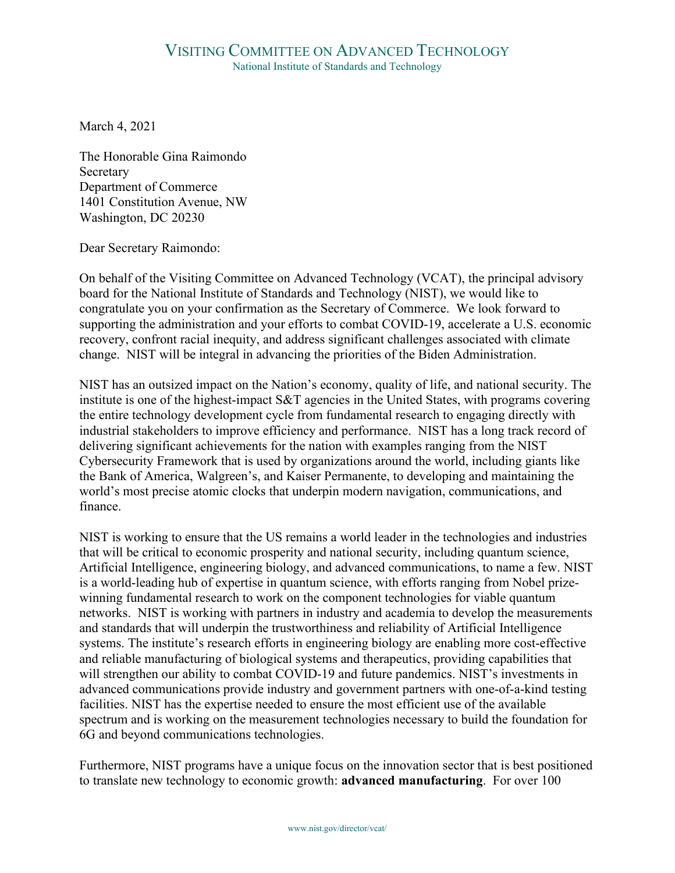March 4, 2021

The Honorable Gina Raimondo Secretary Department of Commerce 1401 Constitution Avenue, NW Washington, DC 20230

Dear Secretary Raimondo:

On behalf of the Visiting Committee on Advanced Technology (VCAT), the principal advisory board for the National Institute of Standards and Technology (NIST), we would like to congratulate you on your confirmation as the Secretary of Commerce. We look forward to supporting the administration and your efforts to combat COVID-19, accelerate a U.S. economic recovery, confront racial inequity, and address significant challenges associated with climate change. NIST will be integral in advancing the priorities of the Biden Administration.

NIST has an outsized impact on the Nation's economy, quality of life, and national security. The institute is one of the highest-impact S&T agencies in the United States, with programs covering the entire technology development cycle from fundamental research to engaging directly with industrial stakeholders to improve efficiency and performance. NIST has a long track record of delivering significant achievements for the nation with examples ranging from the NIST Cybersecurity Framework that is used by organizations around the world, including giants like the Bank of America, Walgreen's, and Kaiser Permanente, to developing and maintaining the world's most precise atomic clocks that underpin modern navigation, communications, and finance.

NIST is working to ensure that the US remains a world leader in the technologies and industries that will be critical to economic prosperity and national security, including quantum science, Artificial Intelligence, engineering biology, and advanced communications, to name a few. NIST is a world-leading hub of expertise in quantum science, with efforts ranging from Nobel prizewinning fundamental research to work on the component technologies for viable quantum networks. NIST is working with partners in industry and academia to develop the measurements and standards that will underpin the trustworthiness and reliability of Artificial Intelligence systems. The institute's research efforts in engineering biology are enabling more cost-effective and reliable manufacturing of biological systems and therapeutics, providing capabilities that will strengthen our ability to combat COVID-19 and future pandemics. NIST's investments in advanced communications provide industry and government partners with one-of-a-kind testing facilities. NIST has the expertise needed to ensure the most efficient use of the available spectrum and is working on the measurement technologies necessary to build the foundation for 6G and beyond communications technologies.

Furthermore, NIST programs have a unique focus on the innovation sector that is best positioned to translate new technology to economic growth: **advanced manufacturing**. For over 100